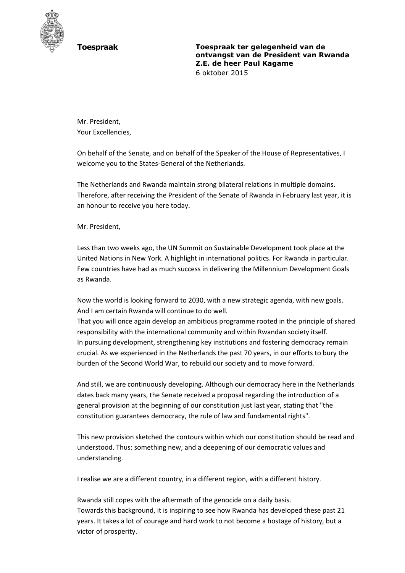

**Toespraak Toespraak ter gelegenheid van de ontvangst van de President van Rwanda Z.E. de heer Paul Kagame** 6 oktober 2015

Mr. President, Your Excellencies,

On behalf of the Senate, and on behalf of the Speaker of the House of Representatives, I welcome you to the States-General of the Netherlands.

The Netherlands and Rwanda maintain strong bilateral relations in multiple domains. Therefore, after receiving the President of the Senate of Rwanda in February last year, it is an honour to receive you here today.

Mr. President,

Less than two weeks ago, the UN Summit on Sustainable Development took place at the United Nations in New York. A highlight in international politics. For Rwanda in particular. Few countries have had as much success in delivering the Millennium Development Goals as Rwanda.

Now the world is looking forward to 2030, with a new strategic agenda, with new goals. And I am certain Rwanda will continue to do well.

That you will once again develop an ambitious programme rooted in the principle of shared responsibility with the international community and within Rwandan society itself. In pursuing development, strengthening key institutions and fostering democracy remain crucial. As we experienced in the Netherlands the past 70 years, in our efforts to bury the burden of the Second World War, to rebuild our society and to move forward.

And still, we are continuously developing. Although our democracy here in the Netherlands dates back many years, the Senate received a proposal regarding the introduction of a general provision at the beginning of our constitution just last year, stating that "the constitution guarantees democracy, the rule of law and fundamental rights".

This new provision sketched the contours within which our constitution should be read and understood. Thus: something new, and a deepening of our democratic values and understanding.

I realise we are a different country, in a different region, with a different history.

Rwanda still copes with the aftermath of the genocide on a daily basis. Towards this background, it is inspiring to see how Rwanda has developed these past 21 years. It takes a lot of courage and hard work to not become a hostage of history, but a victor of prosperity.